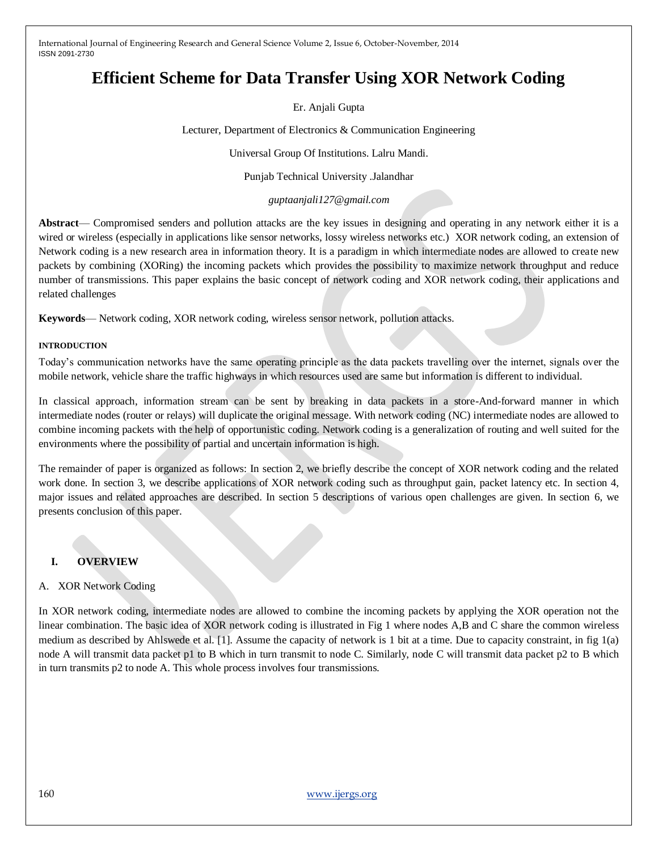# **Efficient Scheme for Data Transfer Using XOR Network Coding**

Er. Anjali Gupta

Lecturer, Department of Electronics & Communication Engineering

Universal Group Of Institutions. Lalru Mandi.

Punjab Technical University .Jalandhar

*guptaanjali127@gmail.com*

**Abstract**— Compromised senders and pollution attacks are the key issues in designing and operating in any network either it is a wired or wireless (especially in applications like sensor networks, lossy wireless networks etc.) XOR network coding, an extension of Network coding is a new research area in information theory. It is a paradigm in which intermediate nodes are allowed to create new packets by combining (XORing) the incoming packets which provides the possibility to maximize network throughput and reduce number of transmissions. This paper explains the basic concept of network coding and XOR network coding, their applications and related challenges

**Keywords**— Network coding, XOR network coding, wireless sensor network, pollution attacks.

#### **INTRODUCTION**

Today's communication networks have the same operating principle as the data packets travelling over the internet, signals over the mobile network, vehicle share the traffic highways in which resources used are same but information is different to individual.

In classical approach, information stream can be sent by breaking in data packets in a store-And-forward manner in which intermediate nodes (router or relays) will duplicate the original message. With network coding (NC) intermediate nodes are allowed to combine incoming packets with the help of opportunistic coding. Network coding is a generalization of routing and well suited for the environments where the possibility of partial and uncertain information is high.

The remainder of paper is organized as follows: In section 2, we briefly describe the concept of XOR network coding and the related work done. In section 3, we describe applications of XOR network coding such as throughput gain, packet latency etc. In section 4, major issues and related approaches are described. In section 5 descriptions of various open challenges are given. In section 6, we presents conclusion of this paper.

## **I. OVERVIEW**

## A. XOR Network Coding

In XOR network coding, intermediate nodes are allowed to combine the incoming packets by applying the XOR operation not the linear combination. The basic idea of XOR network coding is illustrated in Fig 1 where nodes A,B and C share the common wireless medium as described by Ahlswede et al. [1]. Assume the capacity of network is 1 bit at a time. Due to capacity constraint, in fig 1(a) node A will transmit data packet p1 to B which in turn transmit to node C. Similarly, node C will transmit data packet p2 to B which in turn transmits p2 to node A. This whole process involves four transmissions.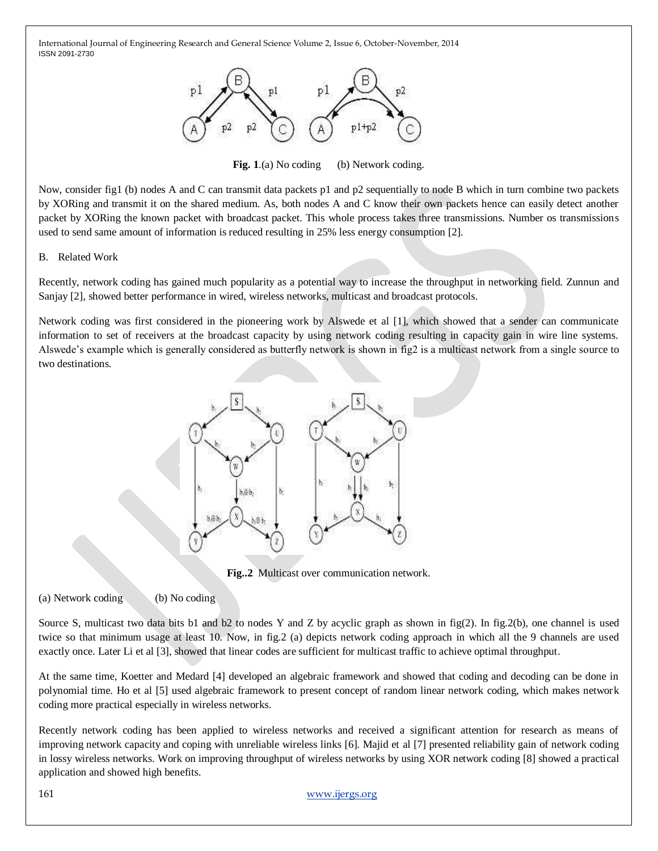

Fig. 1.(a) No coding (b) Network coding.

Now, consider fig1 (b) nodes A and C can transmit data packets p1 and p2 sequentially to node B which in turn combine two packets by XORing and transmit it on the shared medium. As, both nodes A and C know their own packets hence can easily detect another packet by XORing the known packet with broadcast packet. This whole process takes three transmissions. Number os transmissions used to send same amount of information is reduced resulting in 25% less energy consumption [2].

#### B. Related Work

Recently, network coding has gained much popularity as a potential way to increase the throughput in networking field. Zunnun and Sanjay [2], showed better performance in wired, wireless networks, multicast and broadcast protocols.

Network coding was first considered in the pioneering work by Alswede et al [1], which showed that a sender can communicate information to set of receivers at the broadcast capacity by using network coding resulting in capacity gain in wire line systems. Alswede's example which is generally considered as butterfly network is shown in fig2 is a multicast network from a single source to two destinations.



**Fig..2** Multicast over communication network.

(a) Network coding (b) No coding

Source S, multicast two data bits b1 and b2 to nodes Y and Z by acyclic graph as shown in  $fig(2)$ . In fig. 2(b), one channel is used twice so that minimum usage at least 10. Now, in fig.2 (a) depicts network coding approach in which all the 9 channels are used exactly once. Later Li et al [3], showed that linear codes are sufficient for multicast traffic to achieve optimal throughput.

At the same time, Koetter and Medard [4] developed an algebraic framework and showed that coding and decoding can be done in polynomial time. Ho et al [5] used algebraic framework to present concept of random linear network coding, which makes network coding more practical especially in wireless networks.

Recently network coding has been applied to wireless networks and received a significant attention for research as means of improving network capacity and coping with unreliable wireless links [6]. Majid et al [7] presented reliability gain of network coding in lossy wireless networks. Work on improving throughput of wireless networks by using XOR network coding [8] showed a practical application and showed high benefits.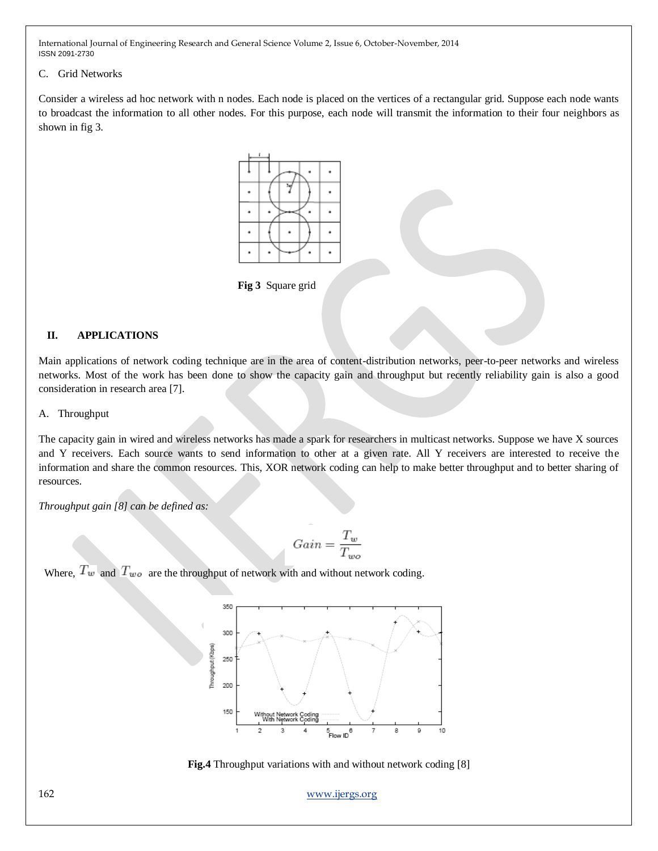#### C. Grid Networks

Consider a wireless ad hoc network with n nodes. Each node is placed on the vertices of a rectangular grid. Suppose each node wants to broadcast the information to all other nodes. For this purpose, each node will transmit the information to their four neighbors as shown in fig 3.



**Fig 3** Square grid

## **II. APPLICATIONS**

Main applications of network coding technique are in the area of content-distribution networks, peer-to-peer networks and wireless networks. Most of the work has been done to show the capacity gain and throughput but recently reliability gain is also a good consideration in research area [7].

#### A. Throughput

The capacity gain in wired and wireless networks has made a spark for researchers in multicast networks. Suppose we have X sources and Y receivers. Each source wants to send information to other at a given rate. All Y receivers are interested to receive the information and share the common resources. This, XOR network coding can help to make better throughput and to better sharing of resources.

*Throughput gain [8] can be defined as:*

$$
Gain = \frac{T_w}{T_{wo}}
$$

Where,  $T_w$  and  $T_{wo}$  are the throughput of network with and without network coding.





162 [www.ijergs.org](http://www.ijergs.org/)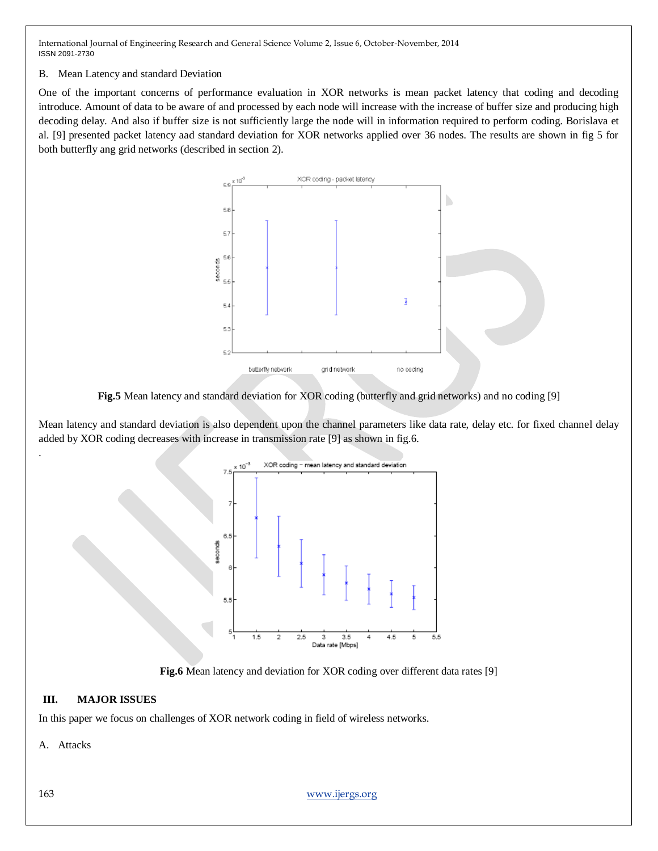### B. Mean Latency and standard Deviation

One of the important concerns of performance evaluation in XOR networks is mean packet latency that coding and decoding introduce. Amount of data to be aware of and processed by each node will increase with the increase of buffer size and producing high decoding delay. And also if buffer size is not sufficiently large the node will in information required to perform coding. Borislava et al. [9] presented packet latency aad standard deviation for XOR networks applied over 36 nodes. The results are shown in fig 5 for both butterfly ang grid networks (described in section 2).



**Fig.5** Mean latency and standard deviation for XOR coding (butterfly and grid networks) and no coding [9]

Mean latency and standard deviation is also dependent upon the channel parameters like data rate, delay etc. for fixed channel delay added by XOR coding decreases with increase in transmission rate [9] as shown in fig.6.



**Fig.6** Mean latency and deviation for XOR coding over different data rates [9]

## **III. MAJOR ISSUES**

In this paper we focus on challenges of XOR network coding in field of wireless networks.

A. Attacks

.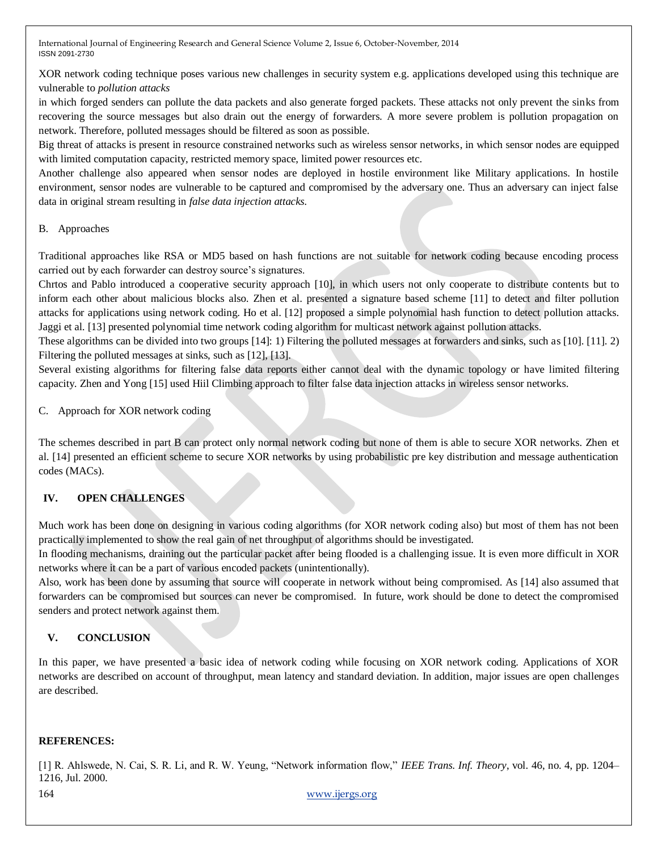XOR network coding technique poses various new challenges in security system e.g. applications developed using this technique are vulnerable to *pollution attacks*

in which forged senders can pollute the data packets and also generate forged packets. These attacks not only prevent the sinks from recovering the source messages but also drain out the energy of forwarders. A more severe problem is pollution propagation on network. Therefore, polluted messages should be filtered as soon as possible.

Big threat of attacks is present in resource constrained networks such as wireless sensor networks, in which sensor nodes are equipped with limited computation capacity, restricted memory space, limited power resources etc.

Another challenge also appeared when sensor nodes are deployed in hostile environment like Military applications. In hostile environment, sensor nodes are vulnerable to be captured and compromised by the adversary one. Thus an adversary can inject false data in original stream resulting in *false data injection attacks.*

## B. Approaches

Traditional approaches like RSA or MD5 based on hash functions are not suitable for network coding because encoding process carried out by each forwarder can destroy source's signatures.

Chrtos and Pablo introduced a cooperative security approach [10], in which users not only cooperate to distribute contents but to inform each other about malicious blocks also. Zhen et al. presented a signature based scheme [11] to detect and filter pollution attacks for applications using network coding. Ho et al. [12] proposed a simple polynomial hash function to detect pollution attacks. Jaggi et al. [13] presented polynomial time network coding algorithm for multicast network against pollution attacks.

These algorithms can be divided into two groups [14]: 1) Filtering the polluted messages at forwarders and sinks, such as [10]. [11]. 2) Filtering the polluted messages at sinks, such as [12], [13].

Several existing algorithms for filtering false data reports either cannot deal with the dynamic topology or have limited filtering capacity. Zhen and Yong [15] used Hiil Climbing approach to filter false data injection attacks in wireless sensor networks.

C. Approach for XOR network coding

The schemes described in part B can protect only normal network coding but none of them is able to secure XOR networks. Zhen et al. [14] presented an efficient scheme to secure XOR networks by using probabilistic pre key distribution and message authentication codes (MACs).

## **IV. OPEN CHALLENGES**

Much work has been done on designing in various coding algorithms (for XOR network coding also) but most of them has not been practically implemented to show the real gain of net throughput of algorithms should be investigated.

In flooding mechanisms, draining out the particular packet after being flooded is a challenging issue. It is even more difficult in XOR networks where it can be a part of various encoded packets (unintentionally).

Also, work has been done by assuming that source will cooperate in network without being compromised. As [14] also assumed that forwarders can be compromised but sources can never be compromised. In future, work should be done to detect the compromised senders and protect network against them.

## **V. CONCLUSION**

In this paper, we have presented a basic idea of network coding while focusing on XOR network coding. Applications of XOR networks are described on account of throughput, mean latency and standard deviation. In addition, major issues are open challenges are described.

## **REFERENCES:**

[1] R. Ahlswede, N. Cai, S. R. Li, and R. W. Yeung, "Network information flow," IEEE Trans. Inf. Theory, vol. 46, no. 4, pp. 1204– 1216, Jul. 2000.

164 [www.ijergs.org](http://www.ijergs.org/)